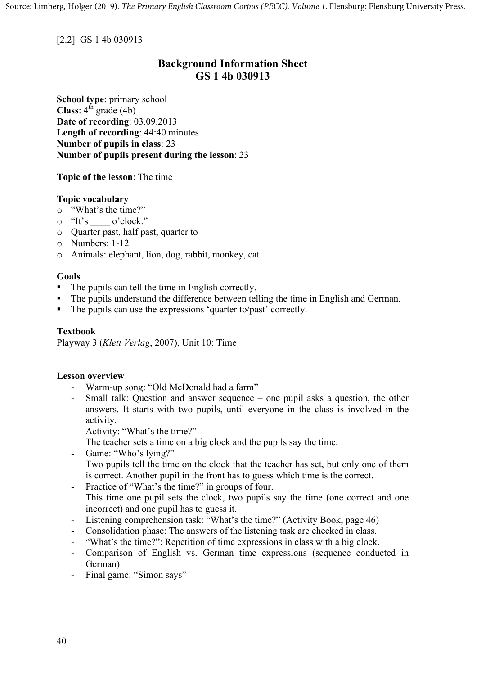# **Background Information Sheet GS 1 4b 030913**

**School type**: primary school **Class**:  $4^{\text{th}}$  grade (4b) **Date of recording**: 03.09.2013 **Length of recording**: 44:40 minutes **Number of pupils in class**: 23 **Number of pupils present during the lesson**: 23

**Topic of the lesson**: The time

## **Topic vocabulary**

- o "What's the time?"
- o "It's \_\_\_\_ o'clock."
- o Quarter past, half past, quarter to
- o Numbers: 1-12
- o Animals: elephant, lion, dog, rabbit, monkey, cat

#### **Goals**

- The pupils can tell the time in English correctly.
- The pupils understand the difference between telling the time in English and German.
- The pupils can use the expressions 'quarter to/past' correctly.

#### **Textbook**

Playway 3 (*Klett Verlag*, 2007), Unit 10: Time

#### **Lesson overview**

- Warm-up song: "Old McDonald had a farm"
- Small talk: Question and answer sequence one pupil asks a question, the other answers. It starts with two pupils, until everyone in the class is involved in the activity.
- Activity: "What's the time?" The teacher sets a time on a big clock and the pupils say the time.
- Game: "Who's lying?" Two pupils tell the time on the clock that the teacher has set, but only one of them is correct. Another pupil in the front has to guess which time is the correct.
- Practice of "What's the time?" in groups of four. This time one pupil sets the clock, two pupils say the time (one correct and one incorrect) and one pupil has to guess it.
- Listening comprehension task: "What's the time?" (Activity Book, page 46)
- Consolidation phase: The answers of the listening task are checked in class.
- "What's the time?": Repetition of time expressions in class with a big clock.
- Comparison of English vs. German time expressions (sequence conducted in German)
- Final game: "Simon says"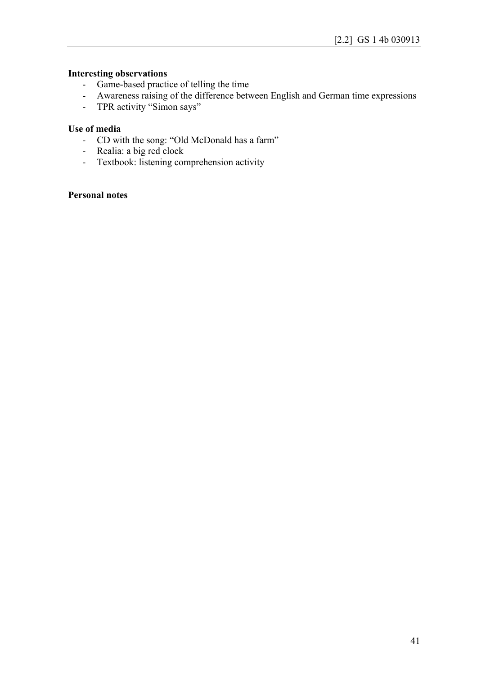## **Interesting observations**

- Game-based practice of telling the time
- Awareness raising of the difference between English and German time expressions
- TPR activity "Simon says"

#### **Use of media**

- CD with the song: "Old McDonald has a farm"
- Realia: a big red clock
- Textbook: listening comprehension activity

#### **Personal notes**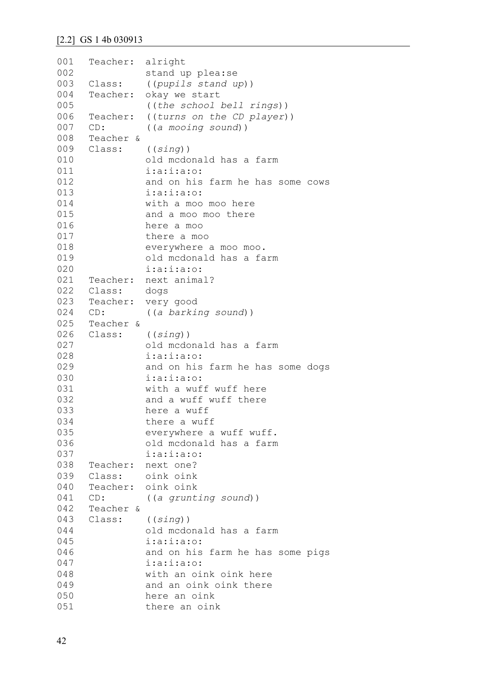```
001
002
003
004
005
006
007
008
009
010
011
012
013
014
015
016
017
018
019
020
021
022
023
024
025
026
027
028
029
030
031
032
033
034
035
036
037
038
039
040
041
042
043
044
045
046
047
048
049
050
051
     Teacher: alright
               stand up plea:se
     Class: ((pupils stand up))
     Teacher: okay we start
               ((the school bell rings))
     Teacher: ((turns on the CD player))
     CD: ((a mooing sound))
     Teacher & 
     Class: ((sing))
               old mcdonald has a farm 
               i:a:i:a:o:
               and on his farm he has some cows 
               i:a:i:a:o:
               with a moo moo here 
               and a moo moo there
               here a moo
               there a moo
               everywhere a moo moo.
               old mcdonald has a farm 
               i:a:i:a:o:
     Teacher: next animal?
     Class: dogs
     Teacher: very good
     CD: ((a barking sound))
     Teacher &
     Class: ((sing))
               old mcdonald has a farm 
               i:a:i:a:o:
               and on his farm he has some dogs 
               i:a:i:a:o:
               with a wuff wuff here 
               and a wuff wuff there
               here a wuff
               there a wuff
               everywhere a wuff wuff.
               old mcdonald has a farm 
               i:a:i:a:o:
     Teacher: next one?
     Class: oink oink
     Teacher: oink oink
     CD: ((a grunting sound))
     Teacher &
     Class: ((sing))
               old mcdonald has a farm 
               i:a:i:a:o:
               and on his farm he has some pigs 
               i:a:i:a:o:
               with an oink oink here
               and an oink oink there
               here an oink
               there an oink
```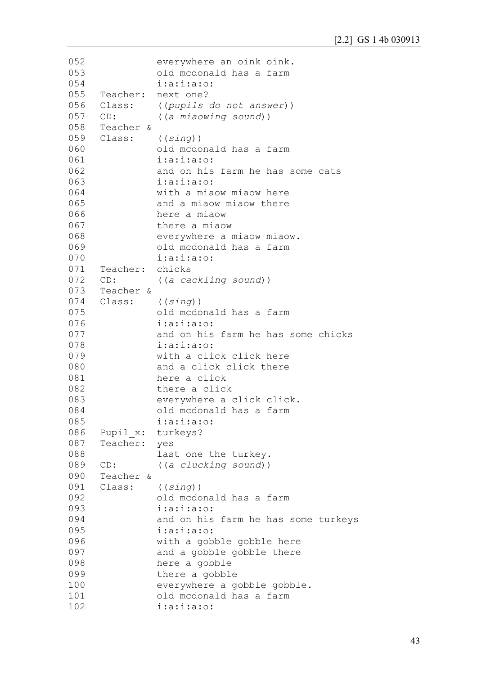```
052
053
054
055
056
057
058
059
060
061
062
063
064
065
066
067
068
069
070
071
072
073
074
075
076
077
078
079
080
081
082
083
084
085
086
087
088
089
090
091
092
093
094
095
096
097
098
099
100
101
102
                everywhere an oink oink.
                old mcdonald has a farm 
                i:a:i:a:o:
     Teacher: next one?
     Class: ((pupils do not answer))
     CD: ((a miaowing sound))
     Teacher &
     Class: ((sing))
                old mcdonald has a farm 
                i:a:i:a:o:
                and on his farm he has some cats 
                i:a:i:a:o:
               with a miaow miaow here
               and a miaow miaow there
               here a miaow
               there a miaow
                everywhere a miaow miaow.
                old mcdonald has a farm 
                i:a:i:a:o:
     Teacher: chicks
     CD: ((a cackling sound))
     Teacher &
     Class: ((sing))
                old mcdonald has a farm 
                i:a:i:a:o:
                and on his farm he has some chicks 
                i:a:i:a:o:
               with a click click here
               and a click click there
               here a click
               there a click
                everywhere a click click.
                old mcdonald has a farm 
                i:a:i:a:o:
     Pupil x: turkeys?
     Teacher: yes
                last one the turkey.
     CD: ((a clucking sound))
     Teacher &
     Class: ((sing))
                old mcdonald has a farm 
                i:a:i:a:o:
               and on his farm he has some turkeys 
                i:a:i:a:o:
               with a gobble gobble here
               and a gobble gobble there
               here a gobble
               there a gobble
               everywhere a gobble gobble.
               old mcdonald has a farm 
               i:a:i:a:o:
```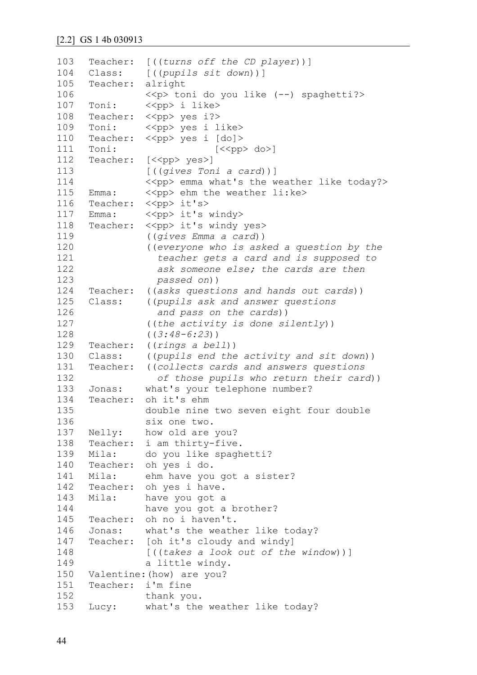```
103
104
105
106
107
108
109
110
111
112
113
114
115
116
117
118
119
120
121
122
123
124
125
126
127
128
129
130
131
132
133
134
135
136
137
138
139
140
141
142
143
144
145
146
147
148
149
150
151
152
153
     Teacher: [((turns off the CD player))]
     Class: [((pupils sit down))]
     Teacher: alright
                <<p> toni do you like (--) spaghetti?>
     Toni: <<pp> i like>
     Teacher: << pp> yes i?>
     Toni: << ><< << Yop> yes i like>
     Teacher: << pp> yes i [do]>
     Toni: [\langle \langle pp \rangle \text{ do} \rangle]Teacher: [<<pp> yes>]
                [((gives Toni a card))]
               \langle \langle pp \rangle emma what's the weather like today?>
     Emma: \langle p \rangle ehm the weather li:ke>
     Teacher: << pp> it's>
    Emma: << pp> it's windy>
     Teacher: << pp> it's windy yes>
                ((gives Emma a card))
                ((everyone who is asked a question by the 
                   teacher gets a card and is supposed to 
                   ask someone else; the cards are then
                   passed on))
     Teacher: ((asks questions and hands out cards))
     Class: ((pupils ask and answer questions
                   and pass on the cards))
                ((the activity is done silently))
                ((3:48-6:23))
     Teacher: ((rings a bell))
     Class: ((pupils end the activity and sit down))
     Teacher: ((collects cards and answers questions 
                   of those pupils who return their card))
     Jonas: what's your telephone number?
     Teacher: oh it's ehm
               double nine two seven eight four double 
               six one two.
     Nelly: how old are you?
     Teacher: i am thirty-five.
     Mila: do you like spaghetti?
     Teacher: oh yes i do.
     Mila: ehm have you got a sister?
     Teacher: oh yes i have. 
     Mila: have you got a
               have you got a brother?
     Teacher: oh no i haven't.
     Jonas: what's the weather like today?
     Teacher: [oh it's cloudy and windy]
                [((takes a look out of the window))]
                a little windy.
     Valentine:(how) are you?
     Teacher: i'm fine 
               thank you.
     Lucy: what's the weather like today?
```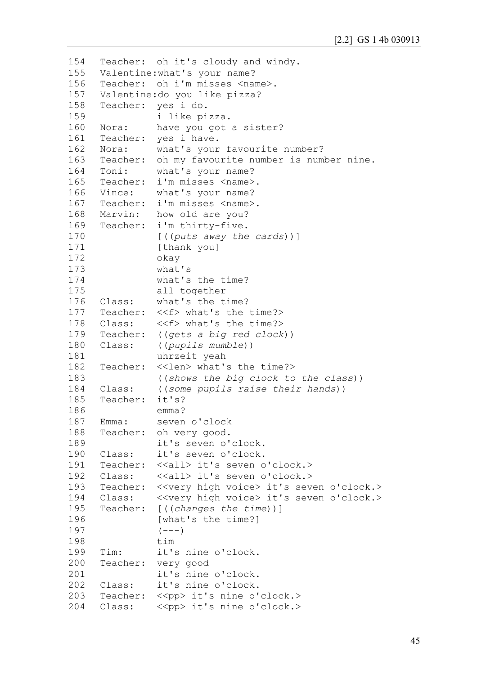```
154
155
156
157
158
159
160
161
162
163
164
165
166
167
168
169
170
171
172
173
174
175
176
177
178
179
180
181
182
183
184
185
186
187
188
189
190
191
192
193
194
195
196
197
198
199
200
201
202
203
204
     Teacher: oh it's cloudy and windy.
     Valentine:what's your name?
     Teacher: oh i'm misses <name>.
     Valentine:do you like pizza?
     Teacher: yes i do.
               i like pizza.
     Nora: have you got a sister?
     Teacher: yes i have.
     Nora: what's your favourite number?
     Teacher: oh my favourite number is number nine.
     Toni: what's your name?
     Teacher: i'm misses <name>.
     Vince: what's your name?
     Teacher: i'm misses <name>.
    Marvin: how old are you?
     Teacher: i'm thirty-five.
               [((puts away the cards))]
               [thank you]
               okay
               what's
               what's the time?
               all together
     Class: what's the time?
     Teacher: <<f> what's the time?>
     Class: <<f> what's the time?>
     Teacher: ((gets a big red clock))
     Class: ((pupils mumble))
               uhrzeit yeah
     Teacher: <<len> what's the time?>
               ((shows the big clock to the class))
     Class: ((some pupils raise their hands))
     Teacher: it's?
               emma?
     Emma: seven o'clock
     Teacher: oh very good.
               it's seven o'clock.
     Class: it's seven o'clock.
     Teacher: <<all> it's seven o'clock.>
     Class: <<all>it's seven o'clock.>
     Teacher: << very high voice> it's seven o'clock.>
     Class: << very high voice> it's seven o'clock.>
     Teacher: [((changes the time))]
               [what's the time?]
               (---)tim
     Tim: it's nine o'clock.
     Teacher: very good
               it's nine o'clock.
     Class: it's nine o'clock.
     Teacher: << pp> it's nine o'clock.>
     Class: <<pp> it's nine o'clock.>
```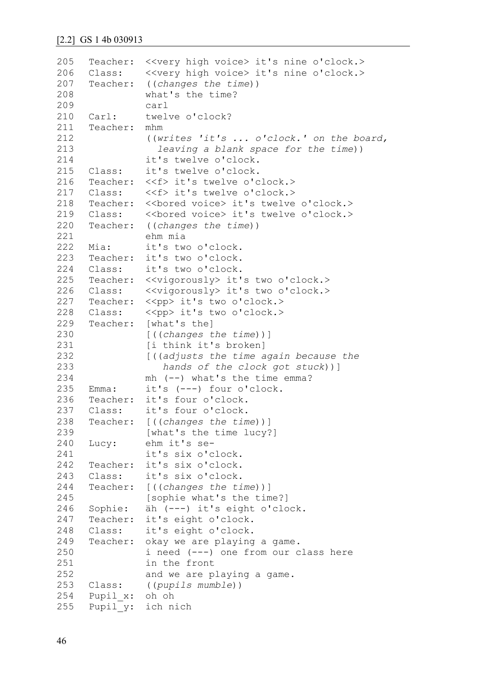| 205 |          | Teacher: << very high voice> it's nine o'clock.>        |
|-----|----------|---------------------------------------------------------|
| 206 | Class:   | < <very high="" voice=""> it's nine o'clock.&gt;</very> |
| 207 |          | Teacher: ((changes the time))                           |
| 208 |          | what's the time?                                        |
| 209 |          | carl                                                    |
| 210 | Carl:    | twelve o'clock?                                         |
| 211 | Teacher: | mhm                                                     |
| 212 |          | ((writes 'it's  o'clock.' on the board,                 |
| 213 |          | leaving a blank space for the time))                    |
| 214 |          | it's twelve o'clock.                                    |
| 215 | Class:   | it's twelve o'clock.                                    |
| 216 |          | Teacher: < <f> it's twelve o'clock.&gt;</f>             |
| 217 | Class:   | < <f> it's twelve o'clock.&gt;</f>                      |
| 218 |          | Teacher: << bored voice> it's twelve o'clock.>          |
| 219 |          |                                                         |
| 220 |          | Teacher: ((changes the time))                           |
| 221 |          | ehm mia                                                 |
| 222 | Mia:     | it's two o'clock.                                       |
| 223 | Teacher: | it's two o'clock.                                       |
| 224 | Class:   | it's two o'clock.                                       |
| 225 | Teacher: | < <vigorously> it's two o'clock.&gt;</vigorously>       |
| 226 | Class:   | < <vigorously> it's two o'clock.&gt;</vigorously>       |
| 227 | Teacher: | < <pp> it's two o'clock.&gt;</pp>                       |
| 228 | Class:   | < <pp> it's two o'clock.&gt;</pp>                       |
| 229 | Teacher: | [what's the]                                            |
| 230 |          | [ ( (changes the time) ) ]                              |
| 231 |          | [i think it's broken]                                   |
| 232 |          | [((adjusts the time again because the                   |
| 233 |          | hands of the clock got stuck))]                         |
| 234 |          | $mh$ $(--)$ what's the time emma?                       |
| 235 | Emma:    | it's $(---)$ four o'clock.                              |
| 236 | Teacher: | it's four o'clock.                                      |
| 237 | Class:   | it's four o'clock.                                      |
| 238 | Teacher: | [ ( (changes the time) ) ]                              |
| 239 |          | [what's the time lucy?]                                 |
| 240 | Lucy:    | ehm it's se-                                            |
| 241 |          | it's six o'clock.                                       |
| 242 | Teacher: | it's six o'clock.                                       |
| 243 | Class:   | it's six o'clock.                                       |
| 244 | Teacher: | [ ( (changes the time) ) ]                              |
| 245 |          | [sophie what's the time?]                               |
| 246 | Sophie:  | äh (---) it's eight o'clock.                            |
| 247 | Teacher: | it's eight o'clock.                                     |
| 248 | Class:   | it's eight o'clock.                                     |
| 249 | Teacher: | okay we are playing a game.                             |
| 250 |          | i need (---) one from our class here                    |
| 251 |          | in the front                                            |
| 252 |          |                                                         |
| 253 | Class:   | and we are playing a game.                              |
| 254 |          | ((pupils mumble))                                       |
|     | Pupil x: | oh oh                                                   |
| 255 | Pupil y: | ich nich                                                |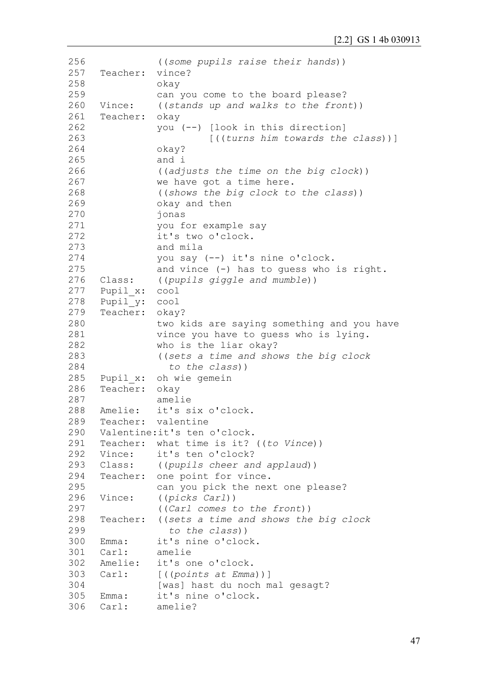```
256
257
258
259
260
261
262
263
264
265
266
267
268
269
270
271
272
273
274
275
276
277
278
279
280
281
282
283
284
285
286
287
288
289
Teacher: valentine
290
291
292
293
294
295
296
297
298
299
300
301
302
303 Carl:
304
305 Emma:
306 Carl:
               ((some pupils raise their hands))
     Teacher: vince?
               okay
               can you come to the board please?
     Vince: ((stands up and walks to the front))
     Teacher: okay
               you (--) [look in this direction]
                         [((turns him towards the class))]
               okay?
               and i
               ((adjusts the time on the big clock))
               we have got a time here.
               ((shows the big clock to the class))
               okay and then
               jonas
               you for example say
               it's two o'clock.
               and mila
               you say (--) it's nine o'clock.
               and vince (-) has to guess who is right.
     Class: ((pupils giggle and mumble))
     Pupil_x: cool
     Pupil_y: cool
     Teacher: okay?
               two kids are saying something and you have
               vince you have to guess who is lying.
               who is the liar okay?
               ((sets a time and shows the big clock 
                  to the class))
     Pupil x: oh wie gemein
     Teacher: okay
               amelie
    Amelie: it's six o'clock.
     Valentine:it's ten o'clock.
     Teacher: what time is it? ((to Vince))
     Vince: it's ten o'clock?
     Class: ((pupils cheer and applaud))
     Teacher: one point for vince.
               can you pick the next one please?
     Vince: ((picks Carl))
               ((Carl comes to the front))
     Teacher: ((sets a time and shows the big clock 
                  to the class))
    Emma: it's nine o'clock.
     Carl: amelie
     Amelie: it's one o'clock.
               Carl: [((points at Emma))]
               [was] hast du noch mal gesagt?
               it's nine o'clock.
              amelie?
```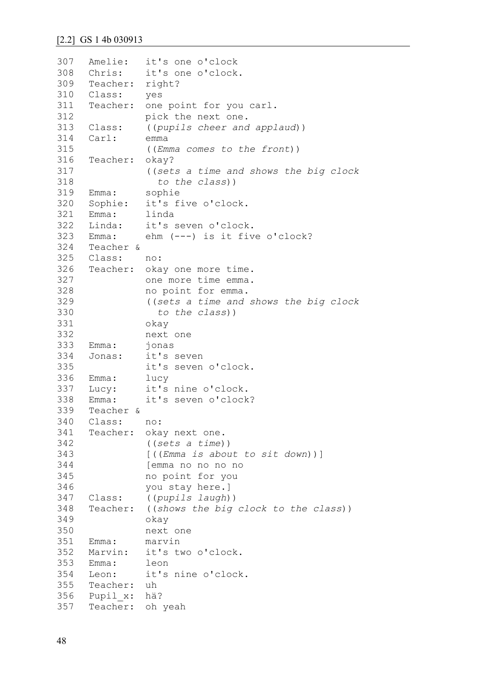```
307
308
309
310
311
312
313
314
315
316
317
318
319
320
321
322
323
324
325
326
327
328
329
330
331
332
333
334
335
336
337
338
339
340
341
342
343
344
345
346
347
348
349
350
351
352
353
354
355
356
357
     Amelie: it's one o'clock
     Chris: it's one o'clock.
     Teacher: right?
     Class: yes
     Teacher: one point for you carl.
               pick the next one.
     Class: ((pupils cheer and applaud))
     Carl: emma
               ((Emma comes to the front))
     Teacher: okay?
               ((sets a time and shows the big clock 
                  to the class))
     Emma: sophie
     Sophie: it's five o'clock.
     Emma: linda
     Linda: it's seven o'clock.
     Emma: ehm (---) is it five o'clock?
     Teacher & 
     Class: no:
     Teacher: okay one more time.
              one more time emma.
               no point for emma.
               ((sets a time and shows the big clock 
                  to the class))
               okay
               next one
     Emma: jonas
     Jonas: it's seven
              it's seven o'clock.
     Emma: lucy
    Lucy: it's nine o'clock.
     Emma: it's seven o'clock?
     Teacher &
     Class: no:
     Teacher: okay next one.
               ((sets a time))
               [((Emma is about to sit down))]
               [emma no no no no
               no point for you 
               you stay here.]
     Class: ((pupils laugh))
     Teacher: ((shows the big clock to the class))
               okay
               next one
     Emma: marvin
     Marvin: it's two o'clock.
     Emma: leon
     Leon: it's nine o'clock.
     Teacher: uh
     Pupil x: hä?
     Teacher: oh yeah
```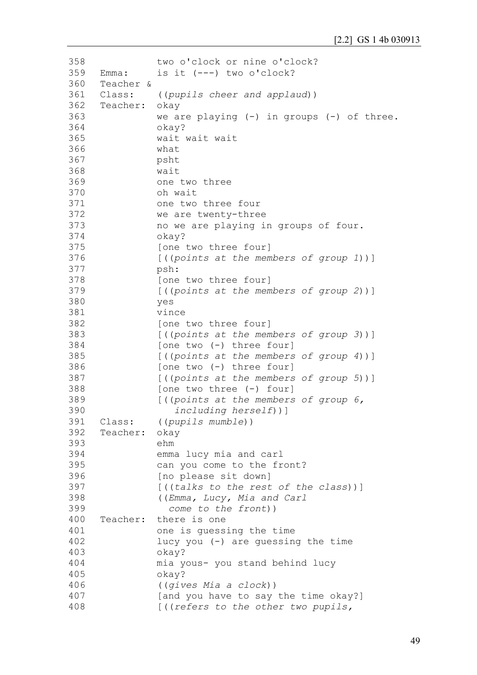358 359 360 361 362 363 364 365 366 367 368 369 370 371 372 373 374 375 376 377 378 379 380 381 382 383 384 385 386 387 388 389 390 391 392 393 394 395 396 397 398 399 400 401 402 403 404 405 406 407 408 two o'clock or nine o'clock? Emma: is it  $(---)$  two o'clock? Teacher & Class: ((*pupils cheer and applaud*)) Teacher: okay we are playing  $(-)$  in groups  $(-)$  of three. okay? wait wait wait what psht wait one two three oh wait one two three four we are twenty-three no we are playing in groups of four. okay? [one two three four] [((*points at the members of group 1*))] psh: [one two three four] [((*points at the members of group 2*))] yes vince [one two three four] [((*points at the members of group 3*))] [one two (-) three four] [((*points at the members of group 4*))] [one two (-) three four] [((*points at the members of group 5*))] [one two three (-) four] [((*points at the members of group 6, including herself*))] Class: ((*pupils mumble*)) Teacher: okay ehm emma lucy mia and carl can you come to the front? [no please sit down] [((*talks to the rest of the class*))] ((*Emma, Lucy, Mia and Carl come to the front*)) Teacher: there is one one is guessing the time lucy you  $(-)$  are quessing the time okay? mia yous- you stand behind lucy okay? ((*gives Mia a clock*)) [and you have to say the time okay?] [((*refers to the other two pupils,*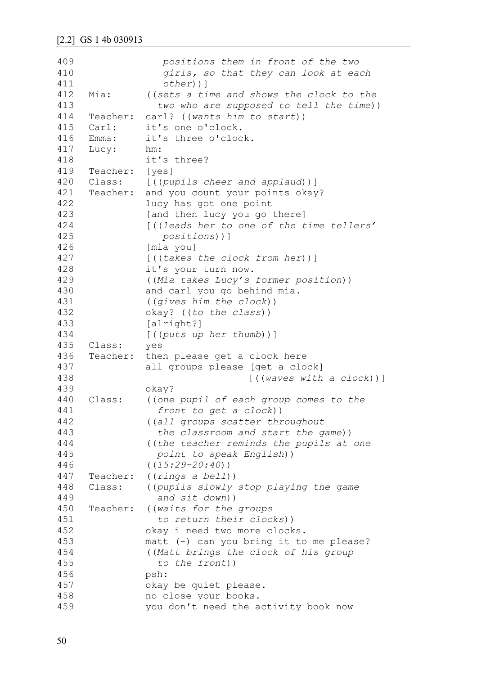| 409 |          | positions them in front of the two       |
|-----|----------|------------------------------------------|
| 410 |          | girls, so that they can look at each     |
| 411 |          | $other)$ ]                               |
| 412 | Mia:     | ((sets a time and shows the clock to the |
| 413 |          | two who are supposed to tell the time))  |
| 414 | Teacher: | carl? ((wants him to start))             |
| 415 | Carl:    | it's one o'clock.                        |
| 416 | Emma:    | it's three o'clock.                      |
| 417 | Lucy:    | hm:                                      |
| 418 |          | it's three?                              |
| 419 | Teacher: | [yes]                                    |
| 420 | Class:   | [((pupils cheer and applaud))]           |
| 421 | Teacher: | and you count your points okay?          |
| 422 |          | lucy has got one point                   |
| 423 |          | [and then lucy you go there]             |
| 424 |          | [((leads her to one of the time tellers' |
| 425 |          | positions))]                             |
| 426 |          | [mia you]                                |
| 427 |          | $[$ ((takes the clock from her))]        |
| 428 |          | it's your turn now.                      |
| 429 |          | ((Mia takes Lucy's former position))     |
| 430 |          | and carl you go behind mia.              |
| 431 |          | ((gives him the clock))                  |
| 432 |          | okay? ((to the class))                   |
| 433 |          | [alright?]                               |
| 434 |          | $[$ ((puts up her thumb))]               |
| 435 | Class:   | yes                                      |
| 436 | Teacher: | then please get a clock here             |
| 437 |          | all groups please [get a clock]          |
| 438 |          | [((waves with a clock))]                 |
| 439 |          | okay?                                    |
| 440 | Class:   | ((one pupil of each group comes to the   |
| 441 |          | front to get a clock))                   |
| 442 |          | ((all groups scatter throughout          |
| 443 |          | the classroom and start the game))       |
| 444 |          | ((the teacher reminds the pupils at one  |
| 445 |          | point to speak English))                 |
| 446 |          | $( (15:29 - 20:40) )$                    |
| 447 | Teacher: | ((rings a bell))                         |
| 448 | Class:   | ((pupils slowly stop playing the game    |
| 449 |          | and sit down))                           |
| 450 | Teacher: | ((waits for the groups                   |
| 451 |          | to return their clocks))                 |
| 452 |          | okay i need two more clocks.             |
| 453 |          | matt (-) can you bring it to me please?  |
| 454 |          | ((Matt brings the clock of his group     |
| 455 |          | to the front))                           |
| 456 |          | psh:                                     |
| 457 |          | okay be quiet please.                    |
| 458 |          | no close your books.                     |
| 459 |          | you don't need the activity book now     |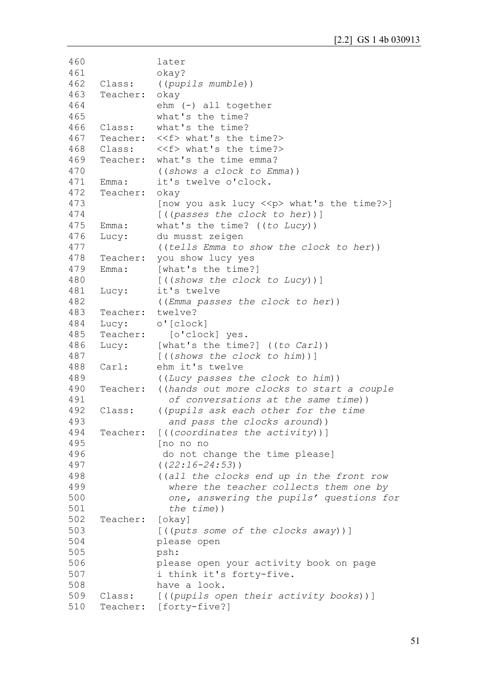```
460
461
462
463
464
465
466
467
468
469
470
471
472
473
474
475
476
477
478
479
480
481
482
483
484
485
486
487
488
489
490
491
492
493
494
495
496
497
498
499
500
501
502
503
504
505
506
507
508
509
510
               later
               okay?
     Class: ((pupils mumble))
     Teacher: okay
               ehm (-) all together
               what's the time?
     Class: what's the time?
     Teacher: <<f> what's the time?>
     Class: <<f> what's the time?>
     Teacher: what's the time emma?
               ((shows a clock to Emma))
     Emma: it's twelve o'clock.
     Teacher: okay
               [now you ask lucy \langle \langle p \rangle what's the time?>]
               [((passes the clock to her))]
     Emma: what's the time? ((to Lucy))
     Lucy: du musst zeigen
               ((tells Emma to show the clock to her))
     Teacher: you show lucy yes
     Emma: [what's the time?]
                [((shows the clock to Lucy))]
     Lucy: it's twelve
               ((Emma passes the clock to her))
     Teacher: twelve?
     Lucy: o'[clock]
     Teacher: [o'clock] yes.
     Lucy: [what's the time?] ((to Carl))
                [((shows the clock to him))]
     Carl: ehm it's twelve
                ((Lucy passes the clock to him))
     Teacher: ((hands out more clocks to start a couple 
                  of conversations at the same time))
     Class: ((pupils ask each other for the time 
                  and pass the clocks around))
     Teacher: [((coordinates the activity))]
                [no no no 
                do not change the time please]
                ((22:16-24:53))
                ((all the clocks end up in the front row 
                  where the teacher collects them one by 
                  one, answering the pupils' questions for 
                  the time))
     Teacher: [okay]
                [((puts some of the clocks away))]
               please open
               psh:
               please open your activity book on page
               i think it's forty-five.
               have a look.
     Class: [((pupils open their activity books))]
     Teacher: [forty-five?]
```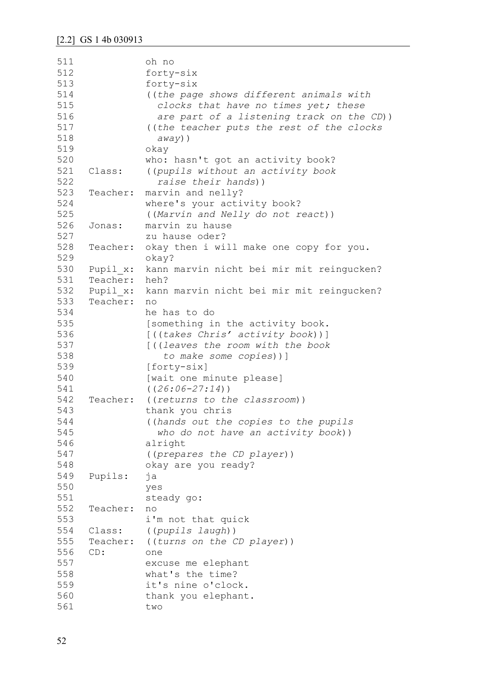| 511 |          | oh no                                     |
|-----|----------|-------------------------------------------|
| 512 |          | forty-six                                 |
| 513 |          | forty-six                                 |
| 514 |          | ((the page shows different animals with   |
| 515 |          | clocks that have no times yet; these      |
| 516 |          | are part of a listening track on the CD)) |
| 517 |          | ((the teacher puts the rest of the clocks |
| 518 |          | $away)$ )                                 |
| 519 |          | okay                                      |
| 520 |          | who: hasn't got an activity book?         |
| 521 | Class:   | ((pupils without an activity book         |
| 522 |          | raise their hands))                       |
| 523 | Teacher: | marvin and nelly?                         |
|     |          |                                           |
| 524 |          | where's your activity book?               |
| 525 |          | ((Marvin and Nelly do not react))         |
| 526 | Jonas:   | marvin zu hause                           |
| 527 |          | zu hause oder?                            |
| 528 | Teacher: | okay then i will make one copy for you.   |
| 529 |          | okay?                                     |
| 530 | Pupil x: | kann marvin nicht bei mir mit reingucken? |
| 531 | Teacher: | heh?                                      |
| 532 | Pupil x: | kann marvin nicht bei mir mit reingucken? |
| 533 | Teacher: | n <sub>O</sub>                            |
| 534 |          | he has to do                              |
| 535 |          | [something in the activity book.          |
| 536 |          | [((takes Chris' activity book))]          |
| 537 |          | [((leaves the room with the book          |
| 538 |          | to make some copies))]                    |
| 539 |          | [forty-six]                               |
| 540 |          | [wait one minute please]                  |
| 541 |          | $((26:06-27:14))$                         |
| 542 | Teacher: | ((returns to the classroom))              |
| 543 |          | thank you chris                           |
| 544 |          |                                           |
| 545 |          | ((hands out the copies to the pupils      |
|     |          | who do not have an activity book))        |
| 546 |          | alright                                   |
| 547 |          | ((prepares the CD player))                |
| 548 |          | okay are you ready?                       |
| 549 | Pupils:  | ja                                        |
| 550 |          | yes                                       |
| 551 |          | steady go:                                |
| 552 | Teacher: | no                                        |
| 553 |          | i'm not that quick                        |
| 554 | Class:   | ((pupils laugh))                          |
| 555 | Teacher: | ((turns on the CD player))                |
| 556 | CD:      | one                                       |
| 557 |          | excuse me elephant                        |
| 558 |          | what's the time?                          |
| 559 |          | it's nine o'clock.                        |
| 560 |          | thank you elephant.                       |
| 561 |          | two                                       |
|     |          |                                           |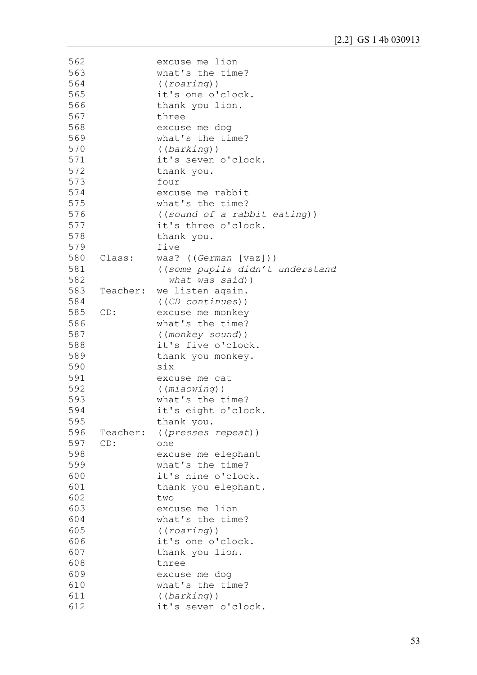| 563<br>what's the time?<br>564<br>((roaring))<br>565<br>it's one o'clock.<br>566<br>thank you lion.<br>567<br>three<br>568<br>excuse me dog<br>569<br>what's the time?<br>570<br>((barkinq))<br>571<br>it's seven o'clock.<br>572<br>thank you.<br>573<br>four<br>574<br>excuse me rabbit<br>575<br>what's the time?<br>576<br>((sound of a rabbit eating))<br>577<br>it's three o'clock.<br>578<br>thank you.<br>579<br>five<br>580<br>was? ((German [vaz]))<br>Class:<br>581<br>((some pupils didn't understand<br>582<br>what was said))<br>583<br>Teacher: we listen again.<br>584<br>((CD continues))<br>585<br>CD:<br>excuse me monkey<br>586<br>what's the time?<br>587<br>((monkey sound))<br>588<br>it's five o'clock.<br>589<br>thank you monkey.<br>590<br>six<br>591<br>excuse me cat<br>592<br>((miaowing))<br>593<br>what's the time?<br>594<br>it's eight o'clock.<br>595<br>thank you.<br>596 Teacher:<br>((presses repeat))<br>597<br>CD:<br>one<br>598<br>excuse me elephant<br>599<br>what's the time?<br>600<br>it's nine o'clock.<br>601<br>thank you elephant.<br>602<br>two<br>603<br>excuse me lion<br>what's the time?<br>604<br>605<br>((roaring))<br>it's one o'clock.<br>606<br>607<br>thank you lion.<br>608<br>three<br>609<br>excuse me dog<br>610<br>what's the time?<br>611<br>((barkinq))<br>612<br>it's seven o'clock. | 562 | excuse me lion |
|-----------------------------------------------------------------------------------------------------------------------------------------------------------------------------------------------------------------------------------------------------------------------------------------------------------------------------------------------------------------------------------------------------------------------------------------------------------------------------------------------------------------------------------------------------------------------------------------------------------------------------------------------------------------------------------------------------------------------------------------------------------------------------------------------------------------------------------------------------------------------------------------------------------------------------------------------------------------------------------------------------------------------------------------------------------------------------------------------------------------------------------------------------------------------------------------------------------------------------------------------------------------------------------------------------------------------------------------------------------|-----|----------------|
|                                                                                                                                                                                                                                                                                                                                                                                                                                                                                                                                                                                                                                                                                                                                                                                                                                                                                                                                                                                                                                                                                                                                                                                                                                                                                                                                                           |     |                |
|                                                                                                                                                                                                                                                                                                                                                                                                                                                                                                                                                                                                                                                                                                                                                                                                                                                                                                                                                                                                                                                                                                                                                                                                                                                                                                                                                           |     |                |
|                                                                                                                                                                                                                                                                                                                                                                                                                                                                                                                                                                                                                                                                                                                                                                                                                                                                                                                                                                                                                                                                                                                                                                                                                                                                                                                                                           |     |                |
|                                                                                                                                                                                                                                                                                                                                                                                                                                                                                                                                                                                                                                                                                                                                                                                                                                                                                                                                                                                                                                                                                                                                                                                                                                                                                                                                                           |     |                |
|                                                                                                                                                                                                                                                                                                                                                                                                                                                                                                                                                                                                                                                                                                                                                                                                                                                                                                                                                                                                                                                                                                                                                                                                                                                                                                                                                           |     |                |
|                                                                                                                                                                                                                                                                                                                                                                                                                                                                                                                                                                                                                                                                                                                                                                                                                                                                                                                                                                                                                                                                                                                                                                                                                                                                                                                                                           |     |                |
|                                                                                                                                                                                                                                                                                                                                                                                                                                                                                                                                                                                                                                                                                                                                                                                                                                                                                                                                                                                                                                                                                                                                                                                                                                                                                                                                                           |     |                |
|                                                                                                                                                                                                                                                                                                                                                                                                                                                                                                                                                                                                                                                                                                                                                                                                                                                                                                                                                                                                                                                                                                                                                                                                                                                                                                                                                           |     |                |
|                                                                                                                                                                                                                                                                                                                                                                                                                                                                                                                                                                                                                                                                                                                                                                                                                                                                                                                                                                                                                                                                                                                                                                                                                                                                                                                                                           |     |                |
|                                                                                                                                                                                                                                                                                                                                                                                                                                                                                                                                                                                                                                                                                                                                                                                                                                                                                                                                                                                                                                                                                                                                                                                                                                                                                                                                                           |     |                |
|                                                                                                                                                                                                                                                                                                                                                                                                                                                                                                                                                                                                                                                                                                                                                                                                                                                                                                                                                                                                                                                                                                                                                                                                                                                                                                                                                           |     |                |
|                                                                                                                                                                                                                                                                                                                                                                                                                                                                                                                                                                                                                                                                                                                                                                                                                                                                                                                                                                                                                                                                                                                                                                                                                                                                                                                                                           |     |                |
|                                                                                                                                                                                                                                                                                                                                                                                                                                                                                                                                                                                                                                                                                                                                                                                                                                                                                                                                                                                                                                                                                                                                                                                                                                                                                                                                                           |     |                |
|                                                                                                                                                                                                                                                                                                                                                                                                                                                                                                                                                                                                                                                                                                                                                                                                                                                                                                                                                                                                                                                                                                                                                                                                                                                                                                                                                           |     |                |
|                                                                                                                                                                                                                                                                                                                                                                                                                                                                                                                                                                                                                                                                                                                                                                                                                                                                                                                                                                                                                                                                                                                                                                                                                                                                                                                                                           |     |                |
|                                                                                                                                                                                                                                                                                                                                                                                                                                                                                                                                                                                                                                                                                                                                                                                                                                                                                                                                                                                                                                                                                                                                                                                                                                                                                                                                                           |     |                |
|                                                                                                                                                                                                                                                                                                                                                                                                                                                                                                                                                                                                                                                                                                                                                                                                                                                                                                                                                                                                                                                                                                                                                                                                                                                                                                                                                           |     |                |
|                                                                                                                                                                                                                                                                                                                                                                                                                                                                                                                                                                                                                                                                                                                                                                                                                                                                                                                                                                                                                                                                                                                                                                                                                                                                                                                                                           |     |                |
|                                                                                                                                                                                                                                                                                                                                                                                                                                                                                                                                                                                                                                                                                                                                                                                                                                                                                                                                                                                                                                                                                                                                                                                                                                                                                                                                                           |     |                |
|                                                                                                                                                                                                                                                                                                                                                                                                                                                                                                                                                                                                                                                                                                                                                                                                                                                                                                                                                                                                                                                                                                                                                                                                                                                                                                                                                           |     |                |
|                                                                                                                                                                                                                                                                                                                                                                                                                                                                                                                                                                                                                                                                                                                                                                                                                                                                                                                                                                                                                                                                                                                                                                                                                                                                                                                                                           |     |                |
|                                                                                                                                                                                                                                                                                                                                                                                                                                                                                                                                                                                                                                                                                                                                                                                                                                                                                                                                                                                                                                                                                                                                                                                                                                                                                                                                                           |     |                |
|                                                                                                                                                                                                                                                                                                                                                                                                                                                                                                                                                                                                                                                                                                                                                                                                                                                                                                                                                                                                                                                                                                                                                                                                                                                                                                                                                           |     |                |
|                                                                                                                                                                                                                                                                                                                                                                                                                                                                                                                                                                                                                                                                                                                                                                                                                                                                                                                                                                                                                                                                                                                                                                                                                                                                                                                                                           |     |                |
|                                                                                                                                                                                                                                                                                                                                                                                                                                                                                                                                                                                                                                                                                                                                                                                                                                                                                                                                                                                                                                                                                                                                                                                                                                                                                                                                                           |     |                |
|                                                                                                                                                                                                                                                                                                                                                                                                                                                                                                                                                                                                                                                                                                                                                                                                                                                                                                                                                                                                                                                                                                                                                                                                                                                                                                                                                           |     |                |
|                                                                                                                                                                                                                                                                                                                                                                                                                                                                                                                                                                                                                                                                                                                                                                                                                                                                                                                                                                                                                                                                                                                                                                                                                                                                                                                                                           |     |                |
|                                                                                                                                                                                                                                                                                                                                                                                                                                                                                                                                                                                                                                                                                                                                                                                                                                                                                                                                                                                                                                                                                                                                                                                                                                                                                                                                                           |     |                |
|                                                                                                                                                                                                                                                                                                                                                                                                                                                                                                                                                                                                                                                                                                                                                                                                                                                                                                                                                                                                                                                                                                                                                                                                                                                                                                                                                           |     |                |
|                                                                                                                                                                                                                                                                                                                                                                                                                                                                                                                                                                                                                                                                                                                                                                                                                                                                                                                                                                                                                                                                                                                                                                                                                                                                                                                                                           |     |                |
|                                                                                                                                                                                                                                                                                                                                                                                                                                                                                                                                                                                                                                                                                                                                                                                                                                                                                                                                                                                                                                                                                                                                                                                                                                                                                                                                                           |     |                |
|                                                                                                                                                                                                                                                                                                                                                                                                                                                                                                                                                                                                                                                                                                                                                                                                                                                                                                                                                                                                                                                                                                                                                                                                                                                                                                                                                           |     |                |
|                                                                                                                                                                                                                                                                                                                                                                                                                                                                                                                                                                                                                                                                                                                                                                                                                                                                                                                                                                                                                                                                                                                                                                                                                                                                                                                                                           |     |                |
|                                                                                                                                                                                                                                                                                                                                                                                                                                                                                                                                                                                                                                                                                                                                                                                                                                                                                                                                                                                                                                                                                                                                                                                                                                                                                                                                                           |     |                |
|                                                                                                                                                                                                                                                                                                                                                                                                                                                                                                                                                                                                                                                                                                                                                                                                                                                                                                                                                                                                                                                                                                                                                                                                                                                                                                                                                           |     |                |
|                                                                                                                                                                                                                                                                                                                                                                                                                                                                                                                                                                                                                                                                                                                                                                                                                                                                                                                                                                                                                                                                                                                                                                                                                                                                                                                                                           |     |                |
|                                                                                                                                                                                                                                                                                                                                                                                                                                                                                                                                                                                                                                                                                                                                                                                                                                                                                                                                                                                                                                                                                                                                                                                                                                                                                                                                                           |     |                |
|                                                                                                                                                                                                                                                                                                                                                                                                                                                                                                                                                                                                                                                                                                                                                                                                                                                                                                                                                                                                                                                                                                                                                                                                                                                                                                                                                           |     |                |
|                                                                                                                                                                                                                                                                                                                                                                                                                                                                                                                                                                                                                                                                                                                                                                                                                                                                                                                                                                                                                                                                                                                                                                                                                                                                                                                                                           |     |                |
|                                                                                                                                                                                                                                                                                                                                                                                                                                                                                                                                                                                                                                                                                                                                                                                                                                                                                                                                                                                                                                                                                                                                                                                                                                                                                                                                                           |     |                |
|                                                                                                                                                                                                                                                                                                                                                                                                                                                                                                                                                                                                                                                                                                                                                                                                                                                                                                                                                                                                                                                                                                                                                                                                                                                                                                                                                           |     |                |
|                                                                                                                                                                                                                                                                                                                                                                                                                                                                                                                                                                                                                                                                                                                                                                                                                                                                                                                                                                                                                                                                                                                                                                                                                                                                                                                                                           |     |                |
|                                                                                                                                                                                                                                                                                                                                                                                                                                                                                                                                                                                                                                                                                                                                                                                                                                                                                                                                                                                                                                                                                                                                                                                                                                                                                                                                                           |     |                |
|                                                                                                                                                                                                                                                                                                                                                                                                                                                                                                                                                                                                                                                                                                                                                                                                                                                                                                                                                                                                                                                                                                                                                                                                                                                                                                                                                           |     |                |
|                                                                                                                                                                                                                                                                                                                                                                                                                                                                                                                                                                                                                                                                                                                                                                                                                                                                                                                                                                                                                                                                                                                                                                                                                                                                                                                                                           |     |                |
|                                                                                                                                                                                                                                                                                                                                                                                                                                                                                                                                                                                                                                                                                                                                                                                                                                                                                                                                                                                                                                                                                                                                                                                                                                                                                                                                                           |     |                |
|                                                                                                                                                                                                                                                                                                                                                                                                                                                                                                                                                                                                                                                                                                                                                                                                                                                                                                                                                                                                                                                                                                                                                                                                                                                                                                                                                           |     |                |
|                                                                                                                                                                                                                                                                                                                                                                                                                                                                                                                                                                                                                                                                                                                                                                                                                                                                                                                                                                                                                                                                                                                                                                                                                                                                                                                                                           |     |                |
|                                                                                                                                                                                                                                                                                                                                                                                                                                                                                                                                                                                                                                                                                                                                                                                                                                                                                                                                                                                                                                                                                                                                                                                                                                                                                                                                                           |     |                |
|                                                                                                                                                                                                                                                                                                                                                                                                                                                                                                                                                                                                                                                                                                                                                                                                                                                                                                                                                                                                                                                                                                                                                                                                                                                                                                                                                           |     |                |
|                                                                                                                                                                                                                                                                                                                                                                                                                                                                                                                                                                                                                                                                                                                                                                                                                                                                                                                                                                                                                                                                                                                                                                                                                                                                                                                                                           |     |                |
|                                                                                                                                                                                                                                                                                                                                                                                                                                                                                                                                                                                                                                                                                                                                                                                                                                                                                                                                                                                                                                                                                                                                                                                                                                                                                                                                                           |     |                |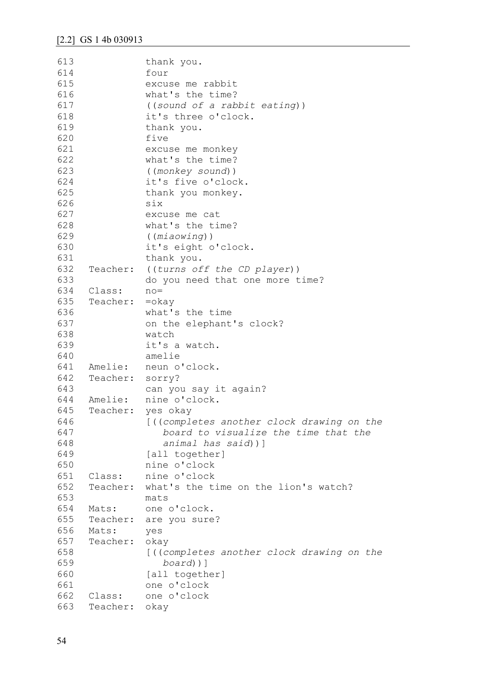```
613
614
615
616
617
618
619
620
621
622
623
624
625
626
627
628
629
630
631
632
633
634
635
636
637
638
639
640
641
642
643
644
645
646
647
648
649
650
651
652
653
654
655
656
657
658
659
660
661
662
663
               thank you.
               four
               excuse me rabbit
               what's the time?
               ((sound of a rabbit eating))
               it's three o'clock.
               thank you.
               five
               excuse me monkey
               what's the time?
               ((monkey sound))
               it's five o'clock.
               thank you monkey.
               six
               excuse me cat
               what's the time?
                ((miaowing))
               it's eight o'clock.
               thank you.
     Teacher: ((turns off the CD player))
               do you need that one more time?
     Class: no=
     Teacher: =okay
               what's the time
               on the elephant's clock?
               watch
               it's a watch.
               amelie
    Amelie: neun o'clock.
     Teacher: sorry?
               can you say it again?
    Amelie: nine o'clock.
    Teacher: yes okay
               [((completes another clock drawing on the 
                    board to visualize the time that the 
                    animal has said))]
                [all together]
               nine o'clock
     Class: nine o'clock
     Teacher: what's the time on the lion's watch?
               mats
     Mats: one o'clock.
     Teacher: are you sure?
     Mats: yes
     Teacher: okay
                [((completes another clock drawing on the 
                   board))]
               [all together]
               one o'clock
     Class: one o'clock
     Teacher: okay
```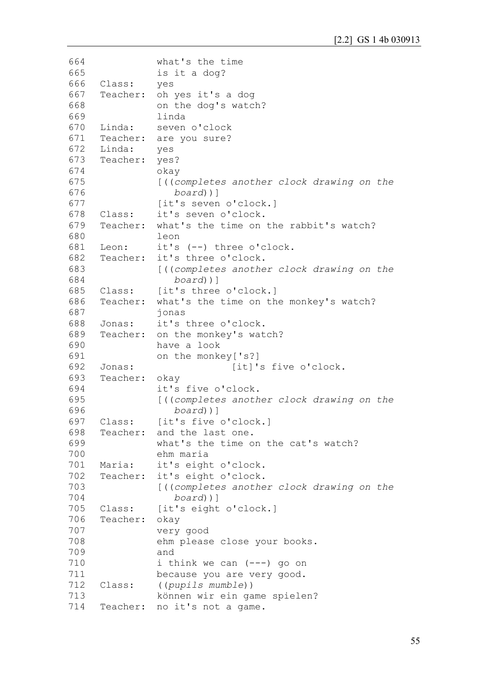```
664
665
666
667
668
669
670
671
672
673
674
675
676
677
678
679
680
681
682
683
684
685
686
687
688
689
690
691
692
693
694
695
696
697
698
699
700
701
702
703
704
705
706
707
708
709
710
711
712
713
714
               what's the time
               is it a dog?
     Class: yes
     Teacher: oh yes it's a dog
               on the dog's watch?
               linda
     Linda: seven o'clock
     Teacher: are you sure?
     Linda: yes
     Teacher: yes?
               okay
               [((completes another clock drawing on the 
                   board))]
               [it's seven o'clock.]
     Class: it's seven o'clock.
     Teacher: what's the time on the rabbit's watch?
               leon
     Leon: it's (--) three o'clock.
     Teacher: it's three o'clock.
               [((completes another clock drawing on the 
                   board))]
     Class: [it's three o'clock.]
     Teacher: what's the time on the monkey's watch?
               jonas
     Jonas: it's three o'clock.
     Teacher: on the monkey's watch?
               have a look
               on the monkey['s?]
     Jonas: [it]'s five o'clock.
     Teacher: okay
               it's five o'clock.
               [((completes another clock drawing on the 
                   board))]
     Class: [it's five o'clock.]
     Teacher: and the last one.
               what's the time on the cat's watch?
               ehm maria
     Maria: it's eight o'clock.
     Teacher: it's eight o'clock.
               [((completes another clock drawing on the 
                   board))]
     Class: [it's eight o'clock.]
     Teacher: okay 
               very good
               ehm please close your books.
               and
               i think we can (---) go on
               because you are very good.
     Class: ((pupils mumble))
               können wir ein game spielen?
     Teacher: no it's not a game.
```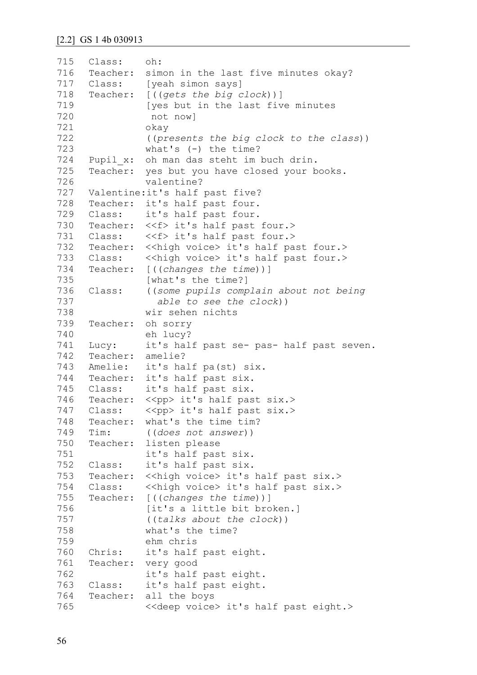| 715 | Class:             | oh:                                                                   |
|-----|--------------------|-----------------------------------------------------------------------|
| 716 |                    | Teacher: simon in the last five minutes okay?                         |
| 717 | Class:             | [yeah simon says]                                                     |
| 718 |                    | Teacher: [((gets the big clock))]                                     |
| 719 |                    | [yes but in the last five minutes                                     |
| 720 |                    | not now]                                                              |
| 721 |                    | okay                                                                  |
| 722 |                    | ((presents the big clock to the class))                               |
| 723 |                    | what's $(-)$ the time?                                                |
| 724 |                    | Pupil x: oh man das steht im buch drin.                               |
| 725 |                    | Teacher: yes but you have closed your books.                          |
| 726 |                    | valentine?                                                            |
| 727 |                    | Valentine: it's half past five?                                       |
| 728 |                    | Teacher: it's half past four.                                         |
| 729 |                    | Class: it's half past four.                                           |
| 730 |                    | Teacher: << f> it's half past four.>                                  |
| 731 |                    | Class: << f>it's half past four.>                                     |
| 732 |                    | Teacher: << high voice> it's half past four.>                         |
| 733 |                    | Class: << high voice> it's half past four.>                           |
| 734 |                    | Teacher: [((changes the time))]                                       |
| 735 |                    | [what's the time?]                                                    |
| 736 | Class:             | ((some pupils complain about not being                                |
| 737 |                    | able to see the clock))                                               |
| 738 |                    | wir sehen nichts                                                      |
| 739 | Teacher:           | oh sorry                                                              |
| 740 |                    | eh lucy?                                                              |
| 741 |                    | it's half past se- pas- half past seven.                              |
| 742 | Lucy:<br>Teacher:  |                                                                       |
| 743 |                    | amelie?                                                               |
| 744 |                    | Amelie: it's half pa(st) six.<br>Teacher: it's half past six.         |
| 745 |                    | Class: it's half past six.                                            |
|     |                    |                                                                       |
| 747 |                    | 746 Teacher: << pp> it's half past six.>                              |
| 748 | Class:             | < <pp> it's half past six.&gt;<br/>Teacher: what's the time tim?</pp> |
| 749 | Tim:               |                                                                       |
| 750 |                    | ((does not answer))                                                   |
| 751 |                    | Teacher: listen please                                                |
| 752 |                    | it's half past six.                                                   |
| 753 | Class:<br>Teacher: | it's half past six.                                                   |
| 754 | Class:             | < <high voice=""> it's half past six.&gt;</high>                      |
|     |                    | < <high voice=""> it's half past six.&gt;</high>                      |
| 755 |                    | Teacher: [((changes the time))]                                       |
| 756 |                    | [it's a little bit broken.]                                           |
| 757 |                    | ((talks about the clock))                                             |
| 758 |                    | what's the time?                                                      |
| 759 |                    | ehm chris                                                             |
| 760 | Chris:             | it's half past eight.                                                 |
| 761 | Teacher:           | very good                                                             |
| 762 |                    | it's half past eight.                                                 |
| 763 | Class:             | it's half past eight.                                                 |
| 764 | Teacher:           | all the boys                                                          |
| 765 |                    | < <deep voice=""> it's half past eight.&gt;</deep>                    |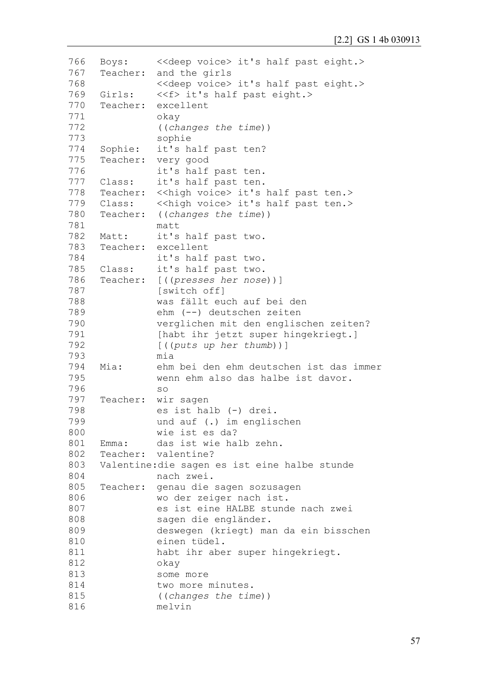```
766
767
768
769
770
771
772
773
774
775
776
777
778
779
780
781
782
783
784
785
786
787
788
789
790
791
792
793
794
795
796
797
798
799
800
801
802
803
804
805
806
807
808
809
810
811
812
813
814
815
816
     Boys: <<deep voice> it's half past eight.>
     Teacher: and the girls
               <<deep voice> it's half past eight.>
     Girls: << f>it's half past eight.>
     Teacher: excellent
               okay
               ((changes the time))
               sophie
     Sophie: it's half past ten?
     Teacher: very good
               it's half past ten.
     Class: it's half past ten.
     Teacher: << high voice> it's half past ten.>
     Class: << high voice> it's half past ten.>
     Teacher: ((changes the time))
               matt
     Matt: it's half past two.
     Teacher: excellent
               it's half past two.
     Class: it's half past two.
     Teacher: [((presses her nose))]
               [switch off]
               was fällt euch auf bei den
               ehm (--) deutschen zeiten
               verglichen mit den englischen zeiten?
               [habt ihr jetzt super hingekriegt.]
               [((puts up her thumb))]
               mia
     Mia: ehm bei den ehm deutschen ist das immer 
               wenn ehm also das halbe ist davor.
               so
     Teacher: wir sagen
               es ist halb (-) drei. 
               und auf (.) im englischen
               wie ist es da?
     Emma: das ist wie halb zehn.
     Teacher: valentine?
     Valentine:die sagen es ist eine halbe stunde 
               nach zwei.
     Teacher: genau die sagen sozusagen 
               wo der zeiger nach ist.
               es ist eine HALBE stunde nach zwei 
               sagen die engländer.
               deswegen (kriegt) man da ein bisschen 
               einen tüdel.
               habt ihr aber super hingekriegt.
               okay
               some more
               two more minutes.
               ((changes the time))
               melvin
```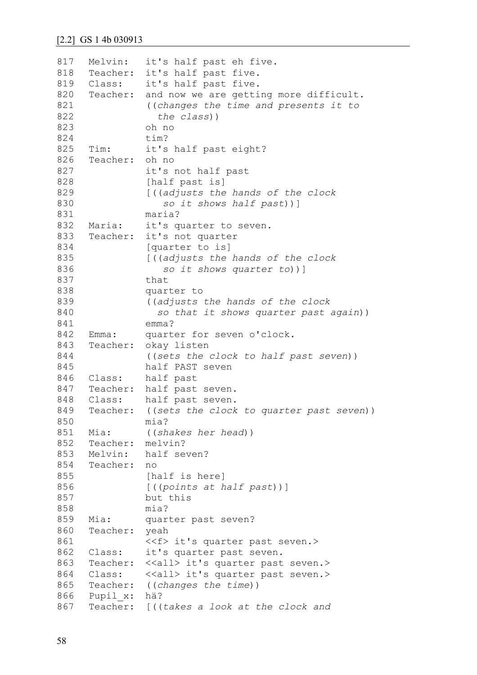```
817
818
819
820
821
822
823
824
825
826
827
828
829
830
831
832
833
834
835
836
837
838
839
840
841
842
843
844
845
846
847
848
849
850
851
852
853
854
855
856
857
858
859
860
861
862
863
864
865
866
867
     Melvin: it's half past eh five.
     Teacher: it's half past five.
     Class: it's half past five.
     Teacher: and now we are getting more difficult.
               ((changes the time and presents it to
                  the class))
               oh no
               tim?
     Tim: it's half past eight?
     Teacher: oh no
               it's not half past
               [half past is]
               [((adjusts the hands of the clock
                   so it shows half past))]
               maria?
     Maria: it's quarter to seven.
     Teacher: it's not quarter
               [quarter to is]
               [((adjusts the hands of the clock
                   so it shows quarter to))]
               that
               quarter to
               ((adjusts the hands of the clock
                  so that it shows quarter past again))
               emma?
     Emma: quarter for seven o'clock.
     Teacher: okay listen
               ((sets the clock to half past seven))
               half PAST seven
     Class: half past
     Teacher: half past seven.
     Class: half past seven.
     Teacher: ((sets the clock to quarter past seven))
               mia?
     Mia: ((shakes her head))
     Teacher: melvin?
     Melvin: half seven?
     Teacher: no
               [half is here]
               [((points at half past))]
               but this
               mia?
     Mia: quarter past seven?
     Teacher: yeah
               <<f> it's quarter past seven.>
     Class: it's quarter past seven.
     Teacher: <<all> it's quarter past seven.>
     Class: <<all>it's quarter past seven.>
     Teacher: ((changes the time))
     Pupil_x: hä?
     Teacher: [((takes a look at the clock and
```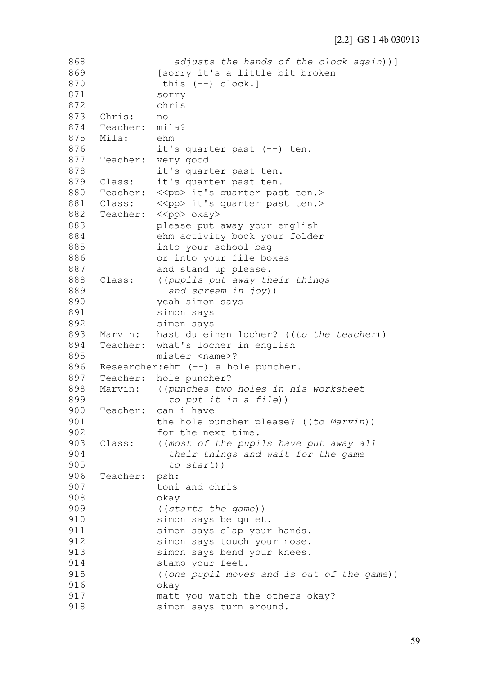```
868
869
870
871
872
873
874
875
876
877
878
879
880
881
882
883
884
885
886
887
888
889
890
891
892
893
894
895
896
897
898
899
900
901
902
903
904
905
906
907
908
909
910
911
912
913
914
915
916
917
918
                   adjusts the hands of the clock again))]
               [sorry it's a little bit broken
                this (--) clock.]
               sorry
               chris
     Chris: no
     Teacher: mila?
     Mila: ehm
               it's quarter past (--) ten.
     Teacher: very good
               it's quarter past ten.
     Class: it's quarter past ten.
     Teacher: << pp> it's quarter past ten.>
     Class: << pp> it's quarter past ten.>
     Teacher: << pp> okay>
               please put away your english
               ehm activity book your folder 
               into your school bag 
               or into your file boxes 
               and stand up please.
     Class: ((pupils put away their things
                  and scream in joy))
               yeah simon says
               simon says
               simon says
     Marvin: hast du einen locher? ((to the teacher))
     Teacher: what's locher in english
               mister <name>?
     Researcher:ehm (--) a hole puncher.
     Teacher: hole puncher?
     Marvin: ((punches two holes in his worksheet
                  to put it in a file))
     Teacher: can i have 
               the hole puncher please? ((to Marvin))
               for the next time.
     Class: ((most of the pupils have put away all 
                  their things and wait for the game 
                  to start))
     Teacher: psh:
               toni and chris
               okay
               ((starts the game))
               simon says be quiet.
               simon says clap your hands.
               simon says touch your nose.
               simon says bend your knees.
               stamp your feet.
               ((one pupil moves and is out of the game))
               okay
               matt you watch the others okay?
               simon says turn around.
```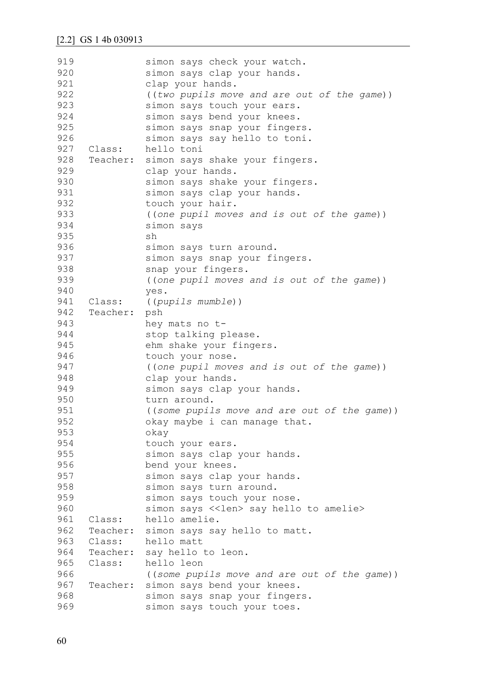| 919 |          | simon says check your watch.                     |
|-----|----------|--------------------------------------------------|
| 920 |          | simon says clap your hands.                      |
| 921 |          | clap your hands.                                 |
| 922 |          | ((two pupils move and are out of the game))      |
| 923 |          | simon says touch your ears.                      |
| 924 |          | simon says bend your knees.                      |
| 925 |          | simon says snap your fingers.                    |
| 926 |          | simon says say hello to toni.                    |
| 927 | Class:   | hello toni                                       |
| 928 | Teacher: | simon says shake your fingers.                   |
| 929 |          | clap your hands.                                 |
| 930 |          | simon says shake your fingers.                   |
| 931 |          | simon says clap your hands.                      |
| 932 |          | touch your hair.                                 |
| 933 |          | ((one pupil moves and is out of the game))       |
| 934 |          | simon says                                       |
| 935 |          | sh                                               |
| 936 |          | simon says turn around.                          |
| 937 |          | simon says snap your fingers.                    |
| 938 |          | snap your fingers.                               |
| 939 |          | ((one pupil moves and is out of the game))       |
| 940 |          | yes.                                             |
| 941 | Class:   | ((pupils mumble))                                |
| 942 | Teacher: | psh                                              |
| 943 |          | hey mats no t-                                   |
| 944 |          | stop talking please.                             |
| 945 |          | ehm shake your fingers.                          |
| 946 |          | touch your nose.                                 |
| 947 |          | ((one pupil moves and is out of the game))       |
| 948 |          | clap your hands.                                 |
| 949 |          | simon says clap your hands.                      |
| 950 |          | turn around.                                     |
| 951 |          | ((some pupils move and are out of the game))     |
| 952 |          | okay maybe i can manage that.                    |
| 953 |          | okay                                             |
| 954 |          | touch your ears.                                 |
| 955 |          | simon says clap your hands.                      |
| 956 |          | bend your knees.                                 |
| 957 |          | simon says clap your hands.                      |
| 958 |          | simon says turn around.                          |
| 959 |          | simon says touch your nose.                      |
| 960 |          | simon says < <len> say hello to amelie&gt;</len> |
| 961 | Class:   | hello amelie.                                    |
| 962 | Teacher: | simon says say hello to matt.                    |
| 963 | Class:   | hello matt                                       |
| 964 | Teacher: | say hello to leon.                               |
| 965 | Class:   | hello leon                                       |
| 966 |          | ((some pupils move and are out of the game))     |
| 967 | Teacher: | simon says bend your knees.                      |
| 968 |          | simon says snap your fingers.                    |
| 969 |          | simon says touch your toes.                      |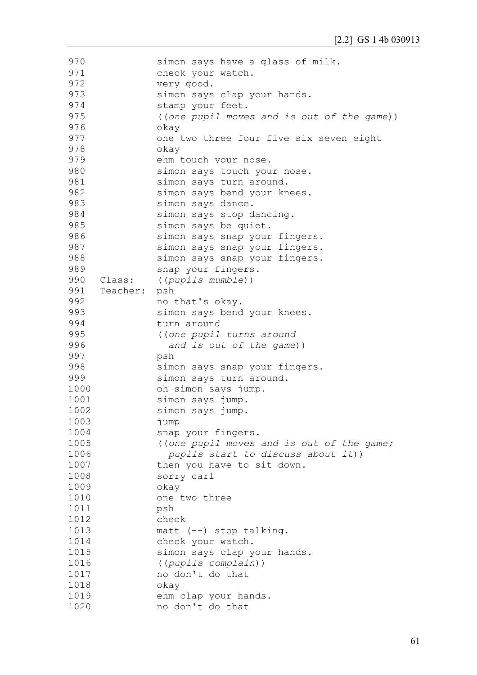| 970  |          | simon says have a glass of milk.           |
|------|----------|--------------------------------------------|
| 971  |          | check your watch.                          |
| 972  |          | very good.                                 |
| 973  |          | simon says clap your hands.                |
| 974  |          | stamp your feet.                           |
| 975  |          | ((one pupil moves and is out of the game)) |
| 976  |          | okay                                       |
| 977  |          | one two three four five six seven eight    |
| 978  |          | okay                                       |
| 979  |          | ehm touch your nose.                       |
| 980  |          | simon says touch your nose.                |
| 981  |          | simon says turn around.                    |
| 982  |          | simon says bend your knees.                |
| 983  |          | simon says dance.                          |
| 984  |          | simon says stop dancing.                   |
| 985  |          | simon says be quiet.                       |
| 986  |          | simon says snap your fingers.              |
| 987  |          | simon says snap your fingers.              |
| 988  |          | simon says snap your fingers.              |
| 989  |          | snap your fingers.                         |
| 990  | Class:   | ((pupils mumble))                          |
| 991  | Teacher: | psh                                        |
| 992  |          | no that's okay.                            |
| 993  |          | simon says bend your knees.                |
| 994  |          | turn around                                |
| 995  |          | ((one pupil turns around                   |
| 996  |          | and is out of the game))                   |
| 997  |          | psh                                        |
| 998  |          | simon says snap your fingers.              |
| 999  |          | simon says turn around.                    |
| 1000 |          | oh simon says jump.                        |
| 1001 |          | simon says jump.                           |
| 1002 |          | simon says jump.                           |
| 1003 |          | jump                                       |
| 1004 |          | snap your fingers.                         |
| 1005 |          | ((one pupil moves and is out of the game;  |
| 1006 |          | pupils start to discuss about it))         |
| 1007 |          | then you have to sit down.                 |
| 1008 |          | sorry carl                                 |
| 1009 |          | okay                                       |
| 1010 |          | one two three                              |
| 1011 |          | psh                                        |
| 1012 |          | check                                      |
| 1013 |          | matt (--) stop talking.                    |
| 1014 |          | check your watch.                          |
| 1015 |          | simon says clap your hands.                |
| 1016 |          | ((pupils complain))                        |
| 1017 |          | no don't do that                           |
| 1018 |          | okay                                       |
| 1019 |          | ehm clap your hands.                       |
| 1020 |          | no don't do that                           |